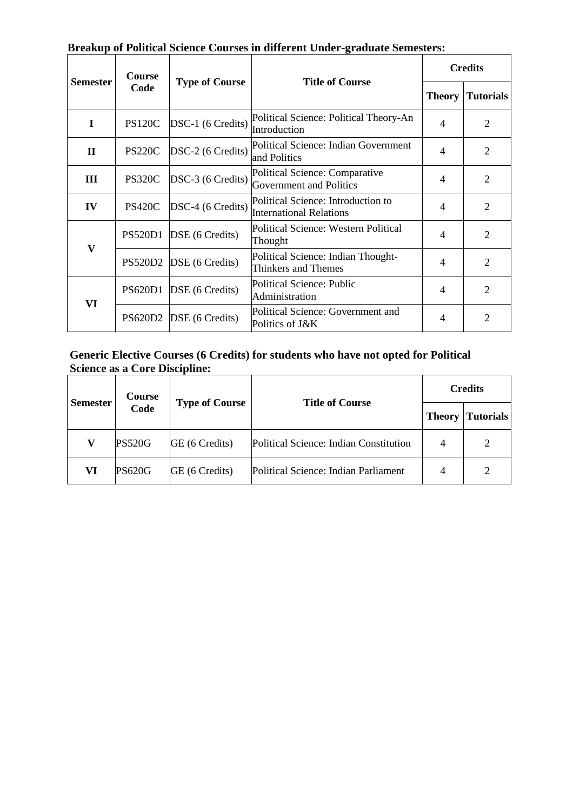| <b>Semester</b> | Course<br>Code | <b>Type of Course</b> | Drumup of I ontical belence Courbes in unferent chuci-graduate beniesters.<br><b>Title of Course</b> | <b>Credits</b> |                  |
|-----------------|----------------|-----------------------|------------------------------------------------------------------------------------------------------|----------------|------------------|
|                 |                |                       |                                                                                                      | <b>Theory</b>  | <b>Tutorials</b> |
| I               | <b>PS120C</b>  | DSC-1 (6 Credits)     | Political Science: Political Theory-An<br>Introduction                                               | 4              | 2                |
| $\mathbf{I}$    | <b>PS220C</b>  | DSC-2 (6 Credits)     | Political Science: Indian Government<br>and Politics                                                 | $\overline{4}$ | 2                |
| Ш               | <b>PS320C</b>  | DSC-3 (6 Credits)     | Political Science: Comparative<br><b>Government and Politics</b>                                     | $\overline{4}$ | $\overline{2}$   |
| IV              | <b>PS420C</b>  | DSC-4 (6 Credits)     | Political Science: Introduction to<br><b>International Relations</b>                                 | $\overline{4}$ | $\overline{2}$   |
| $\mathbf{V}$    | <b>PS520D1</b> | DSE (6 Credits)       | Political Science: Western Political<br>Thought                                                      | $\overline{4}$ | 2                |
|                 | <b>PS520D2</b> | DSE (6 Credits)       | Political Science: Indian Thought-<br>Thinkers and Themes                                            | 4              | $\overline{2}$   |
| VI              | <b>PS620D1</b> | DSE (6 Credits)       | <b>Political Science: Public</b><br>Administration                                                   | 4              | $\overline{2}$   |
|                 | <b>PS620D2</b> | DSE (6 Credits)       | Political Science: Government and<br>Politics of J&K                                                 | 4              | $\overline{2}$   |

# **Breakup of Political Science Courses in different Under-graduate Semesters:**

# **Generic Elective Courses (6 Credits) for students who have not opted for Political Science as a Core Discipline:**

| <b>Semester</b> | <b>Course</b><br>Code | <b>Type of Course</b> | <b>Title of Course</b>                 | <b>Credits</b> |           |
|-----------------|-----------------------|-----------------------|----------------------------------------|----------------|-----------|
|                 |                       |                       |                                        | <b>Theory</b>  | Tutorials |
| V               | <b>PS520G</b>         | GE (6 Credits)        | Political Science: Indian Constitution | 4              |           |
| VI              | <b>PS620G</b>         | GE (6 Credits)        | Political Science: Indian Parliament   | 4              | 2         |